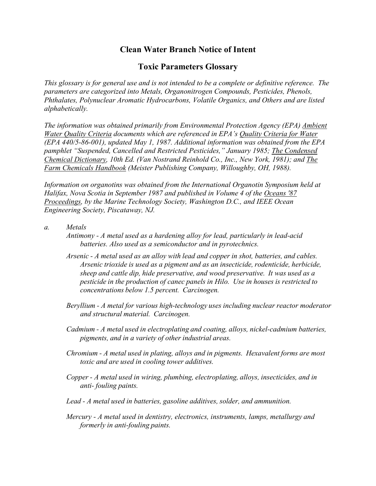## **Clean Water Branch Notice of Intent**

## **Toxic Parameters Glossary**

*This glossary is for general use and is not intended to be a complete or definitive reference. The parameters are categorized into Metals, Organonitrogen Compounds, Pesticides, Phenols, Phthalates, Polynuclear Aromatic Hydrocarbons, Volatile Organics, and Others and are listed alphabetically.*

*The information was obtained primarily from Environmental Protection Agency (EPA) Ambient Water Quality Criteria documents which are referenced in EPA's Quality Criteria for Water (EPA 440/5-86-001), updated May 1, 1987. Additional information was obtained from the EPA pamphlet "Suspended, Cancelled and Restricted Pesticides," January 1985; The Condensed Chemical Dictionary, 10th Ed. (Van Nostrand Reinhold Co., Inc., New York, 1981); and The Farm Chemicals Handbook (Meister Publishing Company, Willoughby, OH, 1988).*

*Information on organotins was obtained from the International Organotin Symposium held at Halifax, Nova Scotia in September 1987 and published in Volume 4 of the Oceans '87 Proceedings, by the Marine Technology Society, Washington D.C., and IEEE Ocean Engineering Society, Piscataway, NJ.*

- *a. Metals*
	- *Antimony - A metal used as a hardening alloy for lead, particularly in lead-acid batteries. Also used as a semiconductor and in pyrotechnics.*
	- *Arsenic - A metal used as an alloy with lead and copper in shot, batteries, and cables. Arsenic trioxide is used as a pigment and as an insecticide, rodenticide, herbicide, sheep and cattle dip, hide preservative, and wood preservative. It was used as a pesticide in the production of canec panels in Hilo. Use in houses is restricted to concentrations below 1.5 percent. Carcinogen.*
	- *Beryllium - A metal for various high-technology uses including nuclear reactor moderator and structural material. Carcinogen.*
	- *Cadmium - A metal used in electroplating and coating, alloys, nickel-cadmium batteries, pigments, and in a variety of other industrial areas.*
	- *Chromium - A metal used in plating, alloys and in pigments. Hexavalent forms are most toxic and are used in cooling tower additives.*
	- *Copper - A metal used in wiring, plumbing, electroplating, alloys, insecticides, and in anti- fouling paints.*
	- *Lead - A metal used in batteries, gasoline additives, solder, and ammunition.*
	- *Mercury - A metal used in dentistry, electronics, instruments, lamps, metallurgy and formerly in anti-fouling paints.*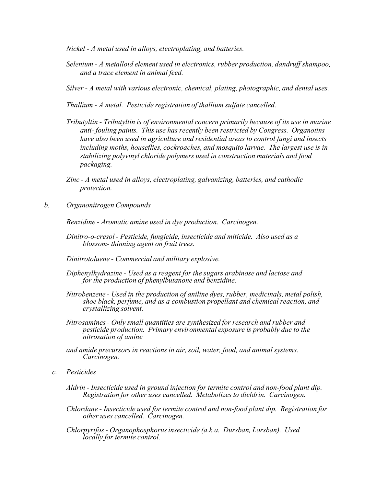*Nickel - A metal used in alloys, electroplating, and batteries.*

- *Selenium - A metalloid element used in electronics, rubber production, dandruff shampoo, and a trace element in animal feed.*
- *Silver - A metal with various electronic, chemical, plating, photographic, and dental uses.*

*Thallium - A metal. Pesticide registration of thallium sulfate cancelled.*

- *Tributyltin - Tributyltin is of environmental concern primarily because of its use in marine anti- fouling paints. This use has recently been restricted by Congress. Organotins have also been used in agriculture and residential areas to control fungi and insects including moths, houseflies, cockroaches, and mosquito larvae. The largest use is in stabilizing polyvinyl chloride polymers used in construction materials and food packaging.*
- *Zinc - A metal used in alloys, electroplating, galvanizing, batteries, and cathodic protection.*
- *b. Organonitrogen Compounds*

*Benzidine - Aromatic amine used in dye production. Carcinogen.*

- *Dinitro-o-cresol - Pesticide, fungicide, insecticide and miticide. Also used as a blossom- thinning agent on fruit trees.*
- *Dinitrotoluene - Commercial and military explosive.*
- *Diphenylhydrazine - Used as a reagent for the sugars arabinose and lactose and for the production of phenylbutanone and benzidine.*
- *Nitrobenzene - Used in the production of aniline dyes, rubber, medicinals, metal polish, shoe black, perfume, and as a combustion propellant and chemical reaction, and crystallizing solvent.*
- *Nitrosamines - Only small quantities are synthesized for research and rubber and pesticide production. Primary environmental exposure is probably due to the nitrosation of amine*
- *and amide precursors in reactions in air, soil, water, food, and animal systems. Carcinogen.*
- *c. Pesticides*
	- *Aldrin - Insecticide used in ground injection for termite control and non-food plant dip. Registration for other uses cancelled. Metabolizes to dieldrin. Carcinogen.*

*Chlordane - Insecticide used for termite control and non-food plant dip. Registration for other uses cancelled. Carcinogen.*

*Chlorpyrifos - Organophosphorusinsecticide (a.k.a. Dursban, Lorsban). Used locally for termite control.*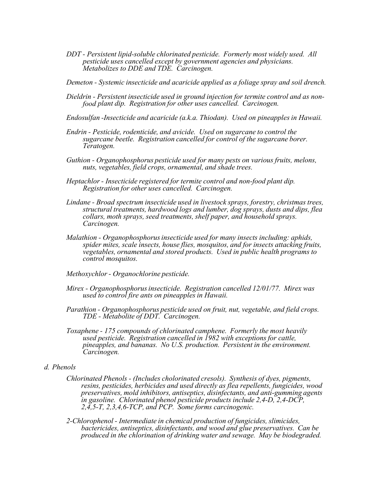*DDT - Persistent lipid-soluble chlorinated pesticide. Formerly most widely used. All pesticide uses cancelled except by government agencies and physicians. Metabolizes to DDE and TDE. Carcinogen.*

*Demeton - Systemic insecticide and acaricide applied as a foliage spray and soil drench.* 

- Dieldrin Persistent insecticide used in ground injection for termite control and as non-<br>food plant dip. Registration for other uses cancelled. Carcinogen.
- *Endosulfan -Insecticide and acaricide (a.k.a. Thiodan). Used on pineapples in Hawaii.*
- *Endrin - Pesticide, rodenticide, and avicide. Used on sugarcane to control the sugarcane beetle. Registration cancelled for control of the sugarcane borer. Teratogen.*
- *Guthion - Organophosphorus pesticide used for many pests on various fruits, melons, nuts, vegetables, field crops, ornamental, and shade trees.*
- *Heptachlor - Insecticide registered for termite control and non-food plant dip. Registration for other uses cancelled. Carcinogen.*
- *Lindane - Broad spectrum insecticide used in livestock sprays, forestry, christmas trees, structural treatments, hardwood logs and lumber, dog sprays, dusts and dips, flea collars, moth sprays, seed treatments, shelf paper, and household sprays. Carcinogen.*
- *Malathion - Organophosphorusinsecticide used for many insects including: aphids, spider mites, scale insects, house flies, mosquitos, and for insects attacking fruits, vegetables, ornamental and stored products. Used in public health programs to control mosquitos.*
- *Methoxychlor - Organochlorine pesticide.*
- *Mirex - Organophosphorusinsecticide. Registration cancelled 12/01/77. Mirex was used to control fire ants on pineapples in Hawaii.*
- *Parathion - Organophosphorus pesticide used on fruit, nut, vegetable, and field crops. TDE - Metabolite of DDT. Carcinogen.*
- *Toxaphene - 175 compounds of chlorinated camphene. Formerly the most heavily used pesticide. Registration cancelled in 1982 with exceptions for cattle, pineapples, and bananas. No U.S. production. Persistent in the environment. Carcinogen.*

## *d. Phenols*

- *Chlorinated Phenols - (Includes cholorinated cresols). Synthesis of dyes, pigments, resins, pesticides, herbicides and used directly as flea repellents, fungicides, wood preservatives, mold inhibitors, antiseptics, disinfectants, and anti-gumming agents in gasoline. Chlorinated phenol pesticide products include 2,4-D, 2,4-DCP, 2,4,5-T, 2,3,4,6-TCP, and PCP. Some forms carcinogenic.*
- *2-Chlorophenol - Intermediate in chemical production of fungicides, slimicides, bactericides, antiseptics, disinfectants, and wood and glue preservatives. Can be produced in the chlorination of drinking water and sewage. May be biodegraded.*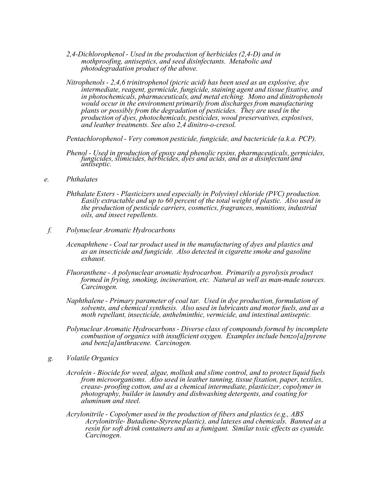- *2,4-Dichlorophenol - Used in the production of herbicides (2,4-D) and in mothproofing, antiseptics, and seed disinfectants. Metabolic and photodegradation product of the above.*
- *Nitrophenols - 2,4,6 trinitrophenol (picric acid) has been used as an explosive, dye intermediate, reagent, germicide, fungicide, staining agent and tissue fixative, and in photochemicals, pharmaceuticals, and metal etching. Mono and dinitrophenols would occur in the environment primarily from discharges from manufacturing plants or possibly from the degradation of pesticides. They are used in the production of dyes, photochemicals, pesticides, wood preservatives, explosives, and leather treatments. See also 2,4 dinitro-o-cresol.*

*Pentachlorophenol - Very common pesticide, fungicide, and bactericide (a.k.a. PCP).*

- Phenol Used in production of epoxy and phenolic resins, pharmaceuticals, germicides,<br>fungicides, slimicides, herbicides, dyes and acids, and as a disinfectant and *antiseptic.*
- *e. Phthalates*
	- *Phthalate Esters - Plasticizers used especially in Polyvinyl chloride (PVC) production. Easily extractable and up to 60 percent of the total weight of plastic. Also used in the production of pesticide carriers, cosmetics, fragrances, munitions, industrial oils, and insect repellents.*
- *f. Polynuclear Aromatic Hydrocarbons*
	- *Acenaphthene - Coal tar product used in the manufacturing of dyes and plastics and as an insecticide and fungicide. Also detected in cigarette smoke and gasoline exhaust.*
	- *Fluoranthene - A polynuclear aromatic hydrocarbon. Primarily a pyrolysis product formed in frying, smoking, incineration, etc. Natural as well as man-made sources. Carcinogen.*
	- *Naphthalene - Primary parameter of coal tar. Used in dye production, formulation of solvents, and chemical synthesis. Also used in lubricants and motor fuels, and as a moth repellant, insecticide, anthelminthic, vermicide, and intestinal antiseptic.*
	- *Polynuclear Aromatic Hydrocarbons - Diverse class of compounds formed by incomplete combustion of organics with insufficient oxygen. Examples include benzo[a]pyrene and benz[a]anthracene. Carcinogen.*
- *g. Volatile Organics*
	- *Acrolein - Biocide for weed, algae, mollusk and slime control, and to protect liquid fuels from microorganisms. Also used in leather tanning, tissue fixation, paper, textiles, crease- proofing cotton, and as a chemical intermediate, plasticizer, copolymer in photography, builder in laundry and dishwashing detergents, and coating for aluminum and steel.*
	- *Acrylonitrile - Copolymer used in the production of fibers and plastics (e.g., ABS Acrylonitrile- Butadiene-Styrene plastic), and latexes and chemicals. Banned as a resin for soft drink containers and as a fumigant. Similar toxic effects as cyanide. Carcinogen.*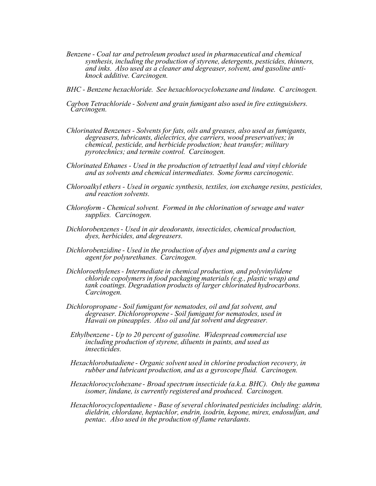- *Benzene - Coal tar and petroleum product used in pharmaceutical and chemical synthesis, including the production of styrene, detergents, pesticides, thinners, and inks. Also used as <sup>a</sup> cleaner and degreaser, solvent, and gasoline anti- knock additive. Carcinogen.*
- *BHC - Benzene hexachloride. See hexachlorocyclohexane and lindane. C arcinogen.*
- *Carbon Tetrachloride - Solvent and grain fumigant also used in fire extinguishers. Carcinogen.*
- *Chlorinated Benzenes - Solvents for fats, oils and greases, also used as fumigants, degreasers, lubricants, dielectrics, dye carriers, wood preservatives; in chemical, pesticide, and herbicide production; heat transfer; military pyrotechnics; and termite control. Carcinogen.*
- *Chlorinated Ethanes - Used in the production of tetraethyl lead and vinyl chloride and as solvents and chemical intermediates. Some forms carcinogenic.*
- *Chloroalkyl ethers - Used in organic synthesis, textiles, ion exchange resins, pesticides, and reaction solvents.*
- *Chloroform - Chemical solvent. Formed in the chlorination of sewage and water supplies. Carcinogen.*
- *Dichlorobenzenes- Used in air deodorants, insecticides, chemical production, dyes, herbicides, and degreasers.*
- *Dichlorobenzidine - Used in the production of dyes and pigments and a curing agent for polyurethanes. Carcinogen.*
- *Dichloroethylenes- Intermediate in chemical production, and polyvinylidene chloride copolymers in food packaging materials (e.g., plastic wrap) and tank coatings. Degradation products of larger chlorinated hydrocarbons. Carcinogen.*
- *Dichloropropane - Soil fumigant for nematodes, oil and fat solvent, and degreaser. Dichloropropene - Soil fumigant for nematodes, used in Hawaii on pineapples. Also oil and fat solvent and degreaser.*
- *Ethylbenzene - Up to 20 percent of gasoline. Widespread commercial use including production of styrene, diluents in paints, and used as insecticides.*
- *Hexachlorobutadiene - Organic solvent used in chlorine production recovery, in rubber and lubricant production, and as a gyroscope fluid. Carcinogen.*
- *Hexachlorocyclohexane - Broad spectrum insecticide (a.k.a. BHC). Only the gamma isomer, lindane, is currently registered and produced. Carcinogen.*
- *Hexachlorocyclopentadiene - Base of several chlorinated pesticides including: aldrin, dieldrin, chlordane, heptachlor, endrin, isodrin, kepone, mirex, endosulfan, and pentac. Also used in the production of flame retardants.*